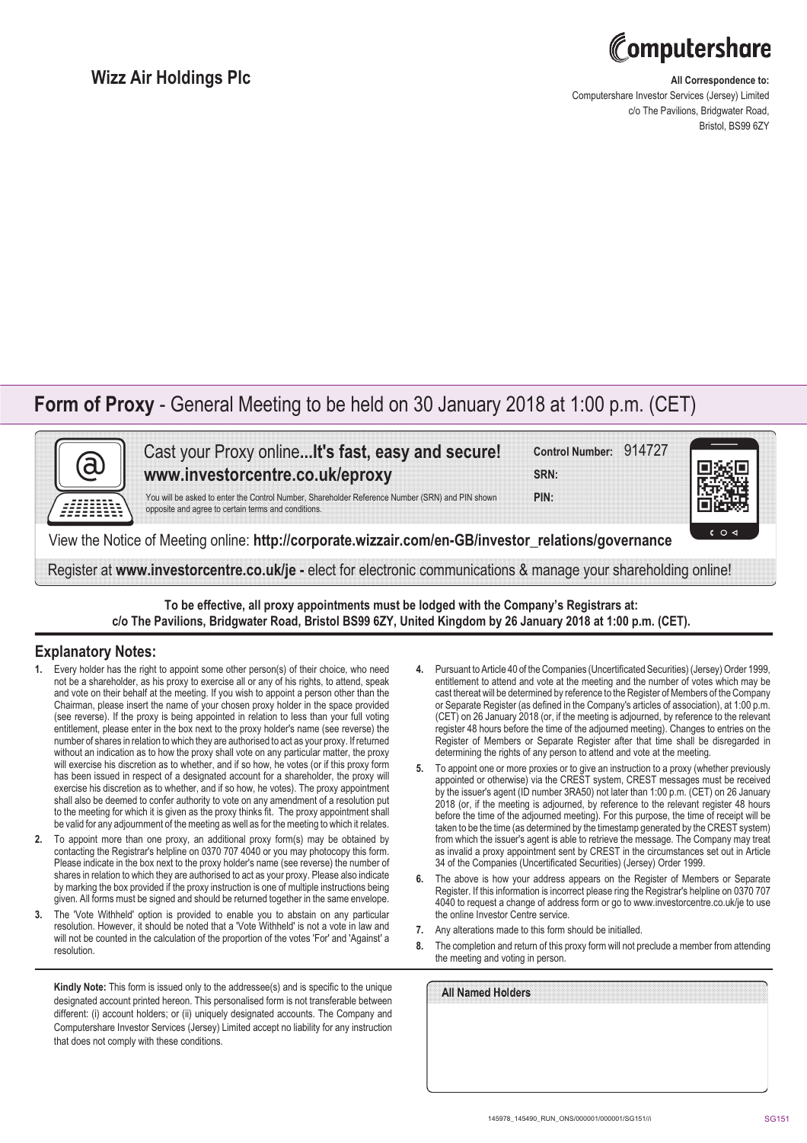

### **Wizz Air Holdings Plc**

### **All Correspondence to:**

Computershare Investor Services (Jersey) Limited c/o The Pavilions, Bridgwater Road, Bristol, BS99 6ZY

## **Form of Proxy** - General Meeting to be held on 30 January 2018 at 1:00 p.m. (CET)



Cast your Proxy online**...It's fast, easy and secure! www.investorcentre.co.uk/eproxy**

**Control Number:** 914727

**PIN: SRN:**

opposite and agree to certain terms and conditions.

You will be asked to enter the Control Number, Shareholder Reference Number (SRN) and PIN shown

View the Notice of Meeting online: **http://corporate.wizzair.com/en-GB/investor\_relations/governance**

Register at **www.investorcentre.co.uk/je -** elect for electronic communications & manage your shareholding online!

**To be effective, all proxy appointments must be lodged with the Company's Registrars at: c/o The Pavilions, Bridgwater Road, Bristol BS99 6ZY, United Kingdom by 26 January 2018 at 1:00 p.m. (CET).**

#### **Explanatory Notes:**

- **1.** Every holder has the right to appoint some other person(s) of their choice, who need not be a shareholder, as his proxy to exercise all or any of his rights, to attend, speak and vote on their behalf at the meeting. If you wish to appoint a person other than the Chairman, please insert the name of your chosen proxy holder in the space provided (see reverse). If the proxy is being appointed in relation to less than your full voting entitlement, please enter in the box next to the proxy holder's name (see reverse) the number of shares in relation to which they are authorised to act as your proxy. If returned without an indication as to how the proxy shall vote on any particular matter, the proxy will exercise his discretion as to whether, and if so how, he votes (or if this proxy form has been issued in respect of a designated account for a shareholder, the proxy will exercise his discretion as to whether, and if so how, he votes). The proxy appointment shall also be deemed to confer authority to vote on any amendment of a resolution put to the meeting for which it is given as the proxy thinks fit. The proxy appointment shall be valid for any adjournment of the meeting as well as for the meeting to which it relates.
- **2.** To appoint more than one proxy, an additional proxy form(s) may be obtained by contacting the Registrar's helpline on 0370 707 4040 or you may photocopy this form. Please indicate in the box next to the proxy holder's name (see reverse) the number of shares in relation to which they are authorised to act as your proxy. Please also indicate by marking the box provided if the proxy instruction is one of multiple instructions being given. All forms must be signed and should be returned together in the same envelope.
- **3.** The 'Vote Withheld' option is provided to enable you to abstain on any particular resolution. However, it should be noted that a 'Vote Withheld' is not a vote in law and will not be counted in the calculation of the proportion of the votes 'For' and 'Against' a resolution.

**Kindly Note:** This form is issued only to the addressee(s) and is specific to the unique designated account printed hereon. This personalised form is not transferable between different: (i) account holders; or (ii) uniquely designated accounts. The Company and Computershare Investor Services (Jersey) Limited accept no liability for any instruction that does not comply with these conditions.

- **4.** Pursuant to Article 40 of the Companies (Uncertificated Securities) (Jersey) Order 1999, entitlement to attend and vote at the meeting and the number of votes which may be cast thereat will be determined by reference to the Register of Members of the Company or Separate Register (as defined in the Company's articles of association), at 1:00 p.m. (CET) on 26 January 2018 (or, if the meeting is adjourned, by reference to the relevant register 48 hours before the time of the adjourned meeting). Changes to entries on the Register of Members or Separate Register after that time shall be disregarded in determining the rights of any person to attend and vote at the meeting.
- **5.** To appoint one or more proxies or to give an instruction to a proxy (whether previously appointed or otherwise) via the CREST system, CREST messages must be received by the issuer's agent (ID number 3RA50) not later than 1:00 p.m. (CET) on 26 January 2018 (or, if the meeting is adjourned, by reference to the relevant register 48 hours before the time of the adjourned meeting). For this purpose, the time of receipt will be taken to be the time (as determined by the timestamp generated by the CREST system) from which the issuer's agent is able to retrieve the message. The Company may treat as invalid a proxy appointment sent by CREST in the circumstances set out in Article 34 of the Companies (Uncertificated Securities) (Jersey) Order 1999.
- **6.** The above is how your address appears on the Register of Members or Separate Register. If this information is incorrect please ring the Registrar's helpline on 0370 707 4040 to request a change of address form or go to www.investorcentre.co.uk/je to use the online Investor Centre service.
- **7.** Any alterations made to this form should be initialled.
- **8.** The completion and return of this proxy form will not preclude a member from attending the meeting and voting in person.

| All Named Holders |  |  |  |
|-------------------|--|--|--|
|                   |  |  |  |
|                   |  |  |  |
|                   |  |  |  |
|                   |  |  |  |
|                   |  |  |  |